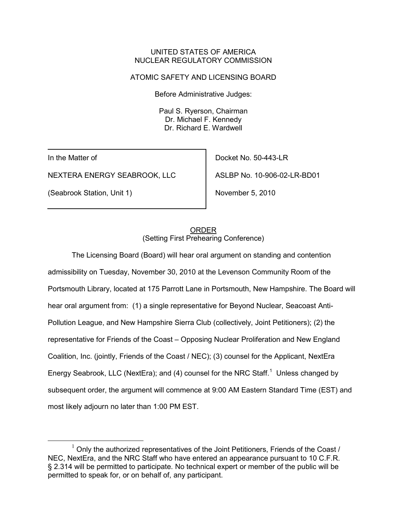### UNITED STATES OF AMERICA NUCLEAR REGULATORY COMMISSION

# ATOMIC SAFETY AND LICENSING BOARD

Before Administrative Judges:

Paul S. Ryerson, Chairman Dr. Michael F. Kennedy Dr. Richard E. Wardwell

In the Matter of

NEXTERA ENERGY SEABROOK, LLC

(Seabrook Station, Unit 1)

Docket No. 50-443-LR ASLBP No. 10-906-02-LR-BD01

November 5, 2010

# (Setting First Prehearing Conference) ORDER

The Licensing Board (Board) will hear oral argument on standing and contention admissibility on Tuesday, November 30, 2010 at the Levenson Community Room of the Portsmouth Library, located at 175 Parrott Lane in Portsmouth, New Hampshire. The Board will hear oral argument from: (1) a single representative for Beyond Nuclear, Seacoast Anti-Pollution League, and New Hampshire Sierra Club (collectively, Joint Petitioners); (2) the representative for Friends of the Coast – Opposing Nuclear Proliferation and New England Coalition, Inc. (jointly, Friends of the Coast / NEC); (3) counsel for the Applicant, NextEra Energy Seabrook, LLC (NextEra); and (4) counsel for the NRC Staff.<sup>[1](#page-0-0)</sup> Unless changed by subsequent order, the argument will commence at 9:00 AM Eastern Standard Time (EST) and most likely adjourn no later than 1:00 PM EST.

<span id="page-0-0"></span> $1$  Only the authorized representatives of the Joint Petitioners, Friends of the Coast / NEC, NextEra, and the NRC Staff who have entered an appearance pursuant to 10 C.F.R. § 2.314 will be permitted to participate. No technical expert or member of the public will be permitted to speak for, or on behalf of, any participant.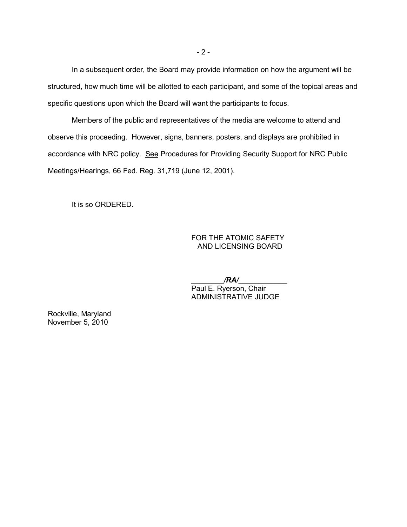In a subsequent order, the Board may provide information on how the argument will be structured, how much time will be allotted to each participant, and some of the topical areas and specific questions upon which the Board will want the participants to focus.

Members of the public and representatives of the media are welcome to attend and observe this proceeding. However, signs, banners, posters, and displays are prohibited in accordance with NRC policy. See Procedures for Providing Security Support for NRC Public Meetings/Hearings, 66 Fed. Reg. 31,719 (June 12, 2001).

It is so ORDERED.

# FOR THE ATOMIC SAFETY AND LICENSING BOARD

 \_\_\_\_\_\_\_\_*/RA/*\_\_\_\_\_\_\_\_\_\_\_\_ Paul E. Ryerson, Chair ADMINISTRATIVE JUDGE

Rockville, Maryland November 5, 2010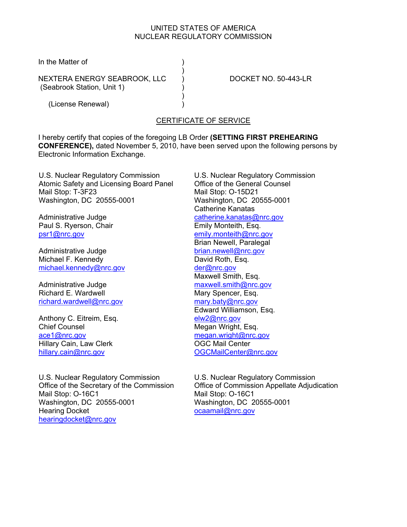# UNITED STATES OF AMERICA NUCLEAR REGULATORY COMMISSION

In the Matter of (1)

NEXTERA ENERGY SEABROOK, LLC ) DOCKET NO. 50-443-LR (Seabrook Station, Unit 1) (Seabrook Station, Unit 1)

 $)$ 

 $)$ (License Renewal) )

# CERTIFICATE OF SERVICE

I hereby certify that copies of the foregoing LB Order **(SETTING FIRST PREHEARING CONFERENCE),** dated November 5, 2010, have been served upon the following persons by Electronic Information Exchange.

U.S. Nuclear Regulatory Commission Atomic Safety and Licensing Board Panel Mail Stop: T-3F23 Washington, DC 20555-0001

Administrative Judge Paul S. Ryerson, Chair psr1@nrc.gov

Administrative Judge Michael F. Kennedy michael.kennedy@nrc.gov

Administrative Judge Richard E. Wardwell richard.wardwell@nrc.gov

Anthony C. Eitreim, Esq. Chief Counsel ace1@nrc.gov Hillary Cain, Law Clerk hillary.cain@nrc.gov

U.S. Nuclear Regulatory Commission Office of the Secretary of the Commission Mail Stop: O-16C1 Washington, DC 20555-0001 Hearing Docket hearingdocket@nrc.gov

U.S. Nuclear Regulatory Commission Office of the General Counsel Mail Stop: O-15D21 Washington, DC 20555-0001 Catherine Kanatas catherine.kanatas@nrc.gov Emily Monteith, Esq. emily.monteith@nrc.gov Brian Newell, Paralegal brian.newell@nrc.gov David Roth, Esq. der@nrc.gov Maxwell Smith, Esq. maxwell.smith@nrc.gov Mary Spencer, Esq. mary.baty@nrc.gov Edward Williamson, Esq. elw2@nrc.gov Megan Wright, Esq. megan.wright@nrc.gov OGC Mail Center OGCMailCenter@nrc.gov

U.S. Nuclear Regulatory Commission Office of Commission Appellate Adjudication Mail Stop: O-16C1 Washington, DC 20555-0001 ocaamail@nrc.gov